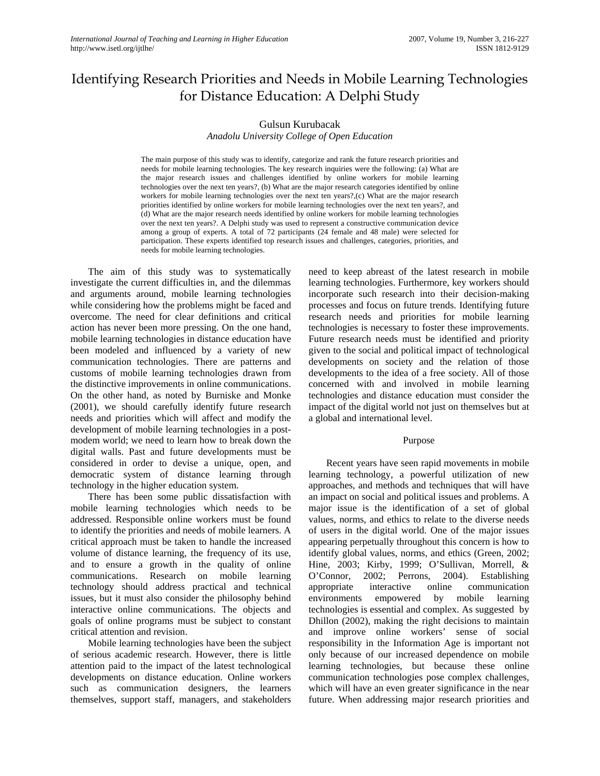# Identifying Research Priorities and Needs in Mobile Learning Technologies for Distance Education: A Delphi Study

# Gulsun Kurubacak

#### *Anadolu University College of Open Education*

The main purpose of this study was to identify, categorize and rank the future research priorities and needs for mobile learning technologies. The key research inquiries were the following: (a) What are the major research issues and challenges identified by online workers for mobile learning technologies over the next ten years?, (b) What are the major research categories identified by online workers for mobile learning technologies over the next ten years?,(c) What are the major research priorities identified by online workers for mobile learning technologies over the next ten years?, and (d) What are the major research needs identified by online workers for mobile learning technologies over the next ten years?. A Delphi study was used to represent a constructive communication device among a group of experts. A total of 72 participants (24 female and 48 male) were selected for participation. These experts identified top research issues and challenges, categories, priorities, and needs for mobile learning technologies.

 The aim of this study was to systematically investigate the current difficulties in, and the dilemmas and arguments around, mobile learning technologies while considering how the problems might be faced and overcome. The need for clear definitions and critical action has never been more pressing. On the one hand, mobile learning technologies in distance education have been modeled and influenced by a variety of new communication technologies. There are patterns and customs of mobile learning technologies drawn from the distinctive improvements in online communications. On the other hand, as noted by Burniske and Monke (2001), we should carefully identify future research needs and priorities which will affect and modify the development of mobile learning technologies in a postmodem world; we need to learn how to break down the digital walls. Past and future developments must be considered in order to devise a unique, open, and democratic system of distance learning through technology in the higher education system.

There has been some public dissatisfaction with mobile learning technologies which needs to be addressed. Responsible online workers must be found to identify the priorities and needs of mobile learners. A critical approach must be taken to handle the increased volume of distance learning, the frequency of its use, and to ensure a growth in the quality of online communications. Research on mobile learning technology should address practical and technical issues, but it must also consider the philosophy behind interactive online communications. The objects and goals of online programs must be subject to constant critical attention and revision.

Mobile learning technologies have been the subject of serious academic research. However, there is little attention paid to the impact of the latest technological developments on distance education. Online workers such as communication designers, the learners themselves, support staff, managers, and stakeholders

need to keep abreast of the latest research in mobile learning technologies. Furthermore, key workers should incorporate such research into their decision-making processes and focus on future trends. Identifying future research needs and priorities for mobile learning technologies is necessary to foster these improvements. Future research needs must be identified and priority given to the social and political impact of technological developments on society and the relation of those developments to the idea of a free society. All of those concerned with and involved in mobile learning technologies and distance education must consider the impact of the digital world not just on themselves but at a global and international level.

#### Purpose

Recent years have seen rapid movements in mobile learning technology, a powerful utilization of new approaches, and methods and techniques that will have an impact on social and political issues and problems. A major issue is the identification of a set of global values, norms, and ethics to relate to the diverse needs of users in the digital world. One of the major issues appearing perpetually throughout this concern is how to identify global values, norms, and ethics (Green, 2002; Hine, 2003; Kirby, 1999; O'Sullivan, Morrell, & O'Connor, 2002; Perrons, 2004). Establishing appropriate interactive online communication environments empowered by mobile learning technologies is essential and complex. As suggested by Dhillon (2002), making the right decisions to maintain and improve online workers' sense of social responsibility in the Information Age is important not only because of our increased dependence on mobile learning technologies, but because these online communication technologies pose complex challenges, which will have an even greater significance in the near future. When addressing major research priorities and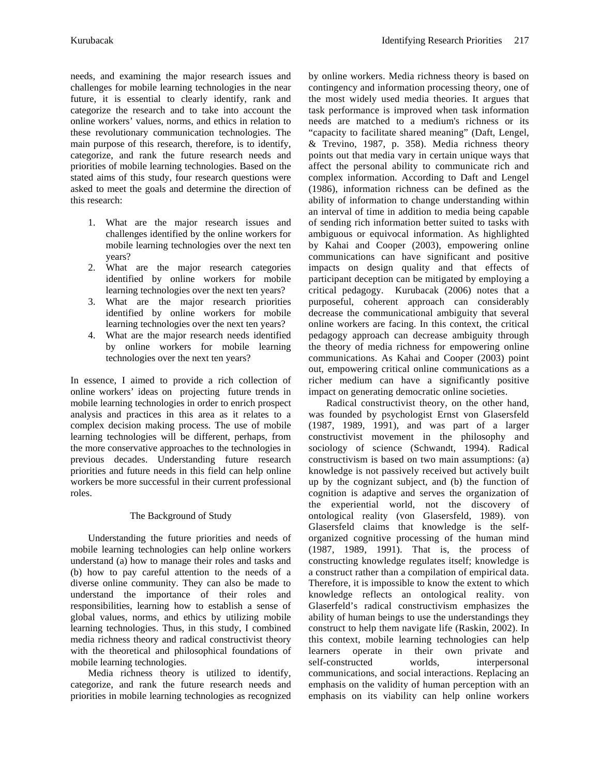needs, and examining the major research issues and challenges for mobile learning technologies in the near future, it is essential to clearly identify, rank and categorize the research and to take into account the online workers' values, norms, and ethics in relation to these revolutionary communication technologies. The main purpose of this research, therefore, is to identify, categorize, and rank the future research needs and priorities of mobile learning technologies. Based on the stated aims of this study, four research questions were asked to meet the goals and determine the direction of this research:

- 1. What are the major research issues and challenges identified by the online workers for mobile learning technologies over the next ten years?
- 2. What are the major research categories identified by online workers for mobile learning technologies over the next ten years?
- 3. What are the major research priorities identified by online workers for mobile learning technologies over the next ten years?
- 4. What are the major research needs identified by online workers for mobile learning technologies over the next ten years?

In essence, I aimed to provide a rich collection of online workers' ideas on projecting future trends in mobile learning technologies in order to enrich prospect analysis and practices in this area as it relates to a complex decision making process. The use of mobile learning technologies will be different, perhaps, from the more conservative approaches to the technologies in previous decades. Understanding future research priorities and future needs in this field can help online workers be more successful in their current professional roles.

# The Background of Study

Understanding the future priorities and needs of mobile learning technologies can help online workers understand (a) how to manage their roles and tasks and (b) how to pay careful attention to the needs of a diverse online community. They can also be made to understand the importance of their roles and responsibilities, learning how to establish a sense of global values, norms, and ethics by utilizing mobile learning technologies. Thus, in this study, I combined media richness theory and radical constructivist theory with the theoretical and philosophical foundations of mobile learning technologies.

Media richness theory is utilized to identify, categorize, and rank the future research needs and priorities in mobile learning technologies as recognized by online workers. Media richness theory is based on contingency and information processing theory, one of the most widely used media theories. It argues that task performance is improved when task information needs are matched to a medium's richness or its "capacity to facilitate shared meaning" (Daft, Lengel, & Trevino, 1987, p. 358). Media richness theory points out that media vary in certain unique ways that affect the personal ability to communicate rich and complex information. According to Daft and Lengel (1986), information richness can be defined as the ability of information to change understanding within an interval of time in addition to media being capable of sending rich information better suited to tasks with ambiguous or equivocal information. As highlighted by Kahai and Cooper (2003), empowering online communications can have significant and positive impacts on design quality and that effects of participant deception can be mitigated by employing a critical pedagogy. Kurubacak (2006) notes that a purposeful, coherent approach can considerably decrease the communicational ambiguity that several online workers are facing. In this context, the critical pedagogy approach can decrease ambiguity through the theory of media richness for empowering online communications. As Kahai and Cooper (2003) point out, empowering critical online communications as a richer medium can have a significantly positive impact on generating democratic online societies.

Radical constructivist theory, on the other hand, was founded by psychologist Ernst von Glasersfeld (1987, 1989, 1991), and was part of a larger constructivist movement in the philosophy and sociology of science (Schwandt, 1994). Radical constructivism is based on two main assumptions: (a) knowledge is not passively received but actively built up by the cognizant subject, and (b) the function of cognition is adaptive and serves the organization of the experiential world, not the discovery of ontological reality (von Glasersfeld, 1989). von Glasersfeld claims that knowledge is the selforganized cognitive processing of the human mind (1987, 1989, 1991). That is, the process of constructing knowledge regulates itself; knowledge is a construct rather than a compilation of empirical data. Therefore, it is impossible to know the extent to which knowledge reflects an ontological reality. von Glaserfeld's radical constructivism emphasizes the ability of human beings to use the understandings they construct to help them navigate life (Raskin, 2002). In this context, mobile learning technologies can help learners operate in their own private and self-constructed worlds, interpersonal communications, and social interactions. Replacing an emphasis on the validity of human perception with an emphasis on its viability can help online workers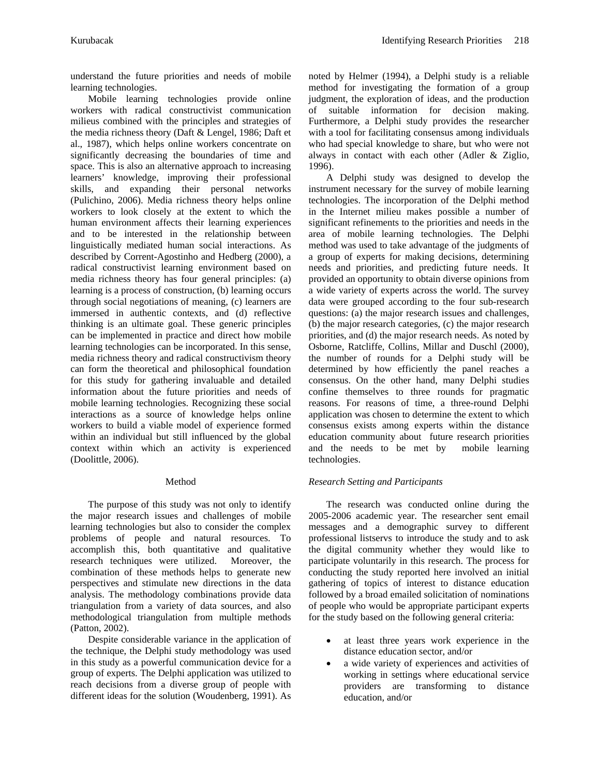understand the future priorities and needs of mobile learning technologies.

Mobile learning technologies provide online workers with radical constructivist communication milieus combined with the principles and strategies of the media richness theory (Daft & Lengel, 1986; Daft et al., 1987), which helps online workers concentrate on significantly decreasing the boundaries of time and space. This is also an alternative approach to increasing learners' knowledge, improving their professional skills, and expanding their personal networks (Pulichino, 2006). Media richness theory helps online workers to look closely at the extent to which the human environment affects their learning experiences and to be interested in the relationship between linguistically mediated human social interactions. As described by Corrent-Agostinho and Hedberg (2000), a radical constructivist learning environment based on media richness theory has four general principles: (a) learning is a process of construction, (b) learning occurs through social negotiations of meaning, (c) learners are immersed in authentic contexts, and (d) reflective thinking is an ultimate goal. These generic principles can be implemented in practice and direct how mobile learning technologies can be incorporated. In this sense, media richness theory and radical constructivism theory can form the theoretical and philosophical foundation for this study for gathering invaluable and detailed information about the future priorities and needs of mobile learning technologies. Recognizing these social interactions as a source of knowledge helps online workers to build a viable model of experience formed within an individual but still influenced by the global context within which an activity is experienced (Doolittle, 2006).

# Method

The purpose of this study was not only to identify the major research issues and challenges of mobile learning technologies but also to consider the complex problems of people and natural resources. To accomplish this, both quantitative and qualitative research techniques were utilized. Moreover, the combination of these methods helps to generate new perspectives and stimulate new directions in the data analysis. The methodology combinations provide data triangulation from a variety of data sources, and also methodological triangulation from multiple methods (Patton, 2002).

Despite considerable variance in the application of the technique, the Delphi study methodology was used in this study as a powerful communication device for a group of experts. The Delphi application was utilized to reach decisions from a diverse group of people with different ideas for the solution (Woudenberg, 1991). As

noted by Helmer (1994), a Delphi study is a reliable method for investigating the formation of a group judgment, the exploration of ideas, and the production of suitable information for decision making. Furthermore, a Delphi study provides the researcher with a tool for facilitating consensus among individuals who had special knowledge to share, but who were not always in contact with each other (Adler & Ziglio, 1996).

A Delphi study was designed to develop the instrument necessary for the survey of mobile learning technologies. The incorporation of the Delphi method in the Internet milieu makes possible a number of significant refinements to the priorities and needs in the area of mobile learning technologies. The Delphi method was used to take advantage of the judgments of a group of experts for making decisions, determining needs and priorities, and predicting future needs. It provided an opportunity to obtain diverse opinions from a wide variety of experts across the world. The survey data were grouped according to the four sub-research questions: (a) the major research issues and challenges, (b) the major research categories, (c) the major research priorities, and (d) the major research needs. As noted by Osborne, Ratcliffe, Collins, Millar and Duschl (2000), the number of rounds for a Delphi study will be determined by how efficiently the panel reaches a consensus. On the other hand, many Delphi studies confine themselves to three rounds for pragmatic reasons. For reasons of time, a three-round Delphi application was chosen to determine the extent to which consensus exists among experts within the distance education community about future research priorities and the needs to be met by mobile learning technologies.

# *Research Setting and Participants*

The research was conducted online during the 2005-2006 academic year. The researcher sent email messages and a demographic survey to different professional listservs to introduce the study and to ask the digital community whether they would like to participate voluntarily in this research. The process for conducting the study reported here involved an initial gathering of topics of interest to distance education followed by a broad emailed solicitation of nominations of people who would be appropriate participant experts for the study based on the following general criteria:

- at least three years work experience in the distance education sector, and/or
- a wide variety of experiences and activities of working in settings where educational service providers are transforming to distance education, and/or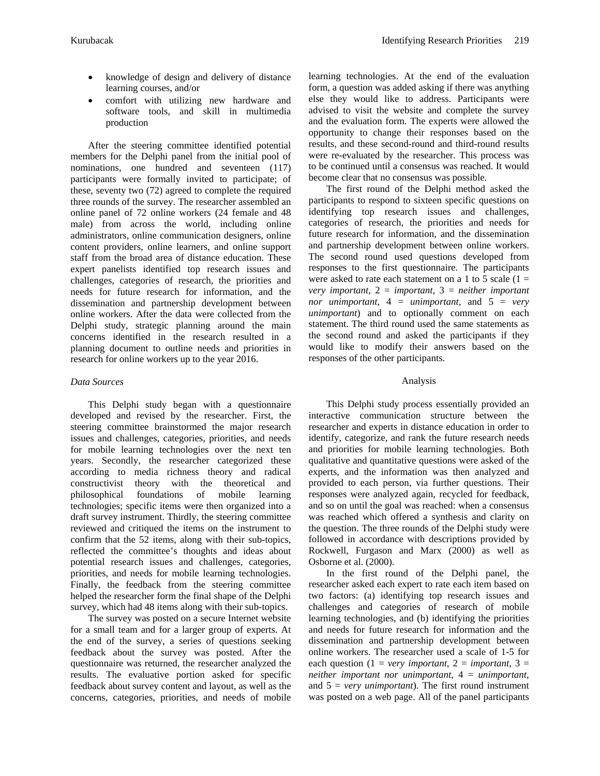- knowledge of design and delivery of distance learning courses, and/or
- comfort with utilizing new hardware and software tools, and skill in multimedia production

After the steering committee identified potential members for the Delphi panel from the initial pool of nominations, one hundred and seventeen (117) participants were formally invited to participate; of these, seventy two (72) agreed to complete the required three rounds of the survey. The researcher assembled an online panel of 72 online workers (24 female and 48 male) from across the world, including online administrators, online communication designers, online content providers, online learners, and online support staff from the broad area of distance education. These expert panelists identified top research issues and challenges, categories of research, the priorities and needs for future research for information, and the dissemination and partnership development between online workers. After the data were collected from the Delphi study, strategic planning around the main concerns identified in the research resulted in a planning document to outline needs and priorities in research for online workers up to the year 2016.

## *Data Sources*

This Delphi study began with a questionnaire developed and revised by the researcher. First, the steering committee brainstormed the major research issues and challenges, categories, priorities, and needs for mobile learning technologies over the next ten years. Secondly, the researcher categorized these according to media richness theory and radical constructivist theory with the theoretical and philosophical foundations of mobile learning technologies; specific items were then organized into a draft survey instrument. Thirdly, the steering committee reviewed and critiqued the items on the instrument to confirm that the 52 items, along with their sub-topics, reflected the committee's thoughts and ideas about potential research issues and challenges, categories, priorities, and needs for mobile learning technologies. Finally, the feedback from the steering committee helped the researcher form the final shape of the Delphi survey, which had 48 items along with their sub-topics.

The survey was posted on a secure Internet website for a small team and for a larger group of experts. At the end of the survey, a series of questions seeking feedback about the survey was posted. After the questionnaire was returned, the researcher analyzed the results. The evaluative portion asked for specific feedback about survey content and layout, as well as the concerns, categories, priorities, and needs of mobile learning technologies. At the end of the evaluation form, a question was added asking if there was anything else they would like to address. Participants were advised to visit the website and complete the survey and the evaluation form. The experts were allowed the opportunity to change their responses based on the results, and these second-round and third-round results were re-evaluated by the researcher. This process was to be continued until a consensus was reached. It would become clear that no consensus was possible.

The first round of the Delphi method asked the participants to respond to sixteen specific questions on identifying top research issues and challenges, categories of research, the priorities and needs for future research for information, and the dissemination and partnership development between online workers. The second round used questions developed from responses to the first questionnaire. The participants were asked to rate each statement on a 1 to 5 scale  $(1 =$ *very important*, 2 = *important*, 3 = *neither important nor unimportant*, 4 = *unimportant*, and 5 = *very unimportant*) and to optionally comment on each statement. The third round used the same statements as the second round and asked the participants if they would like to modify their answers based on the responses of the other participants.

## Analysis

This Delphi study process essentially provided an interactive communication structure between the researcher and experts in distance education in order to identify, categorize, and rank the future research needs and priorities for mobile learning technologies. Both qualitative and quantitative questions were asked of the experts, and the information was then analyzed and provided to each person, via further questions. Their responses were analyzed again, recycled for feedback, and so on until the goal was reached: when a consensus was reached which offered a synthesis and clarity on the question. The three rounds of the Delphi study were followed in accordance with descriptions provided by Rockwell, Furgason and Marx (2000) as well as Osborne et al. (2000).

In the first round of the Delphi panel, the researcher asked each expert to rate each item based on two factors: (a) identifying top research issues and challenges and categories of research of mobile learning technologies, and (b) identifying the priorities and needs for future research for information and the dissemination and partnership development between online workers. The researcher used a scale of 1-5 for each question  $(1 = very important, 2 = important, 3 =$ *neither important nor unimportant*, 4 = *unimportant*, and 5 = *very unimportant*). The first round instrument was posted on a web page. All of the panel participants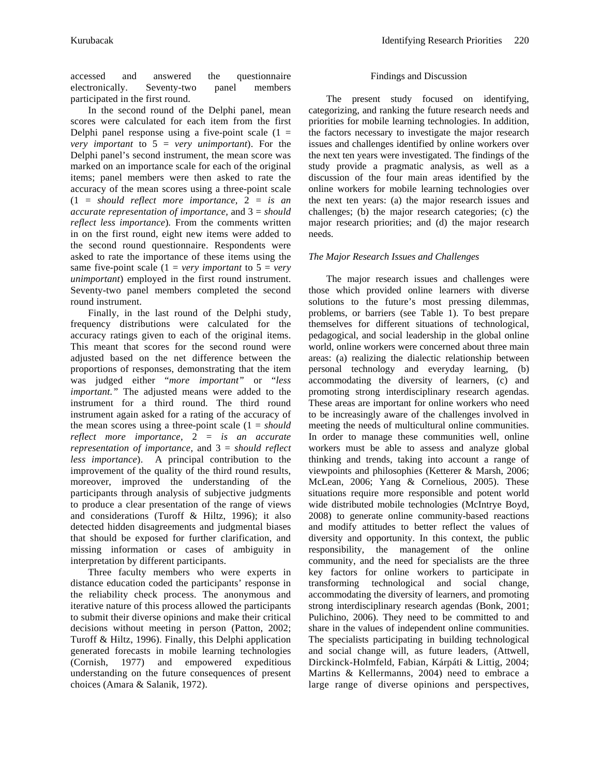accessed and answered the questionnaire electronically. Seventy-two panel members participated in the first round.

In the second round of the Delphi panel, mean scores were calculated for each item from the first Delphi panel response using a five-point scale  $(1 =$ *very important* to 5 = *very unimportant*). For the Delphi panel's second instrument, the mean score was marked on an importance scale for each of the original items; panel members were then asked to rate the accuracy of the mean scores using a three-point scale (1 = *should reflect more importance,* 2 = *is an accurate representation of importance,* and 3 = *should reflect less importance*)*.* From the comments written in on the first round, eight new items were added to the second round questionnaire. Respondents were asked to rate the importance of these items using the same five-point scale  $(1 = \text{very important to } 5 = \text{very})$ *unimportant*) employed in the first round instrument. Seventy-two panel members completed the second round instrument.

Finally, in the last round of the Delphi study, frequency distributions were calculated for the accuracy ratings given to each of the original items. This meant that scores for the second round were adjusted based on the net difference between the proportions of responses, demonstrating that the item was judged either "*more important"* or "*less important."* The adjusted means were added to the instrument for a third round. The third round instrument again asked for a rating of the accuracy of the mean scores using a three-point scale  $(1 = should$ *reflect more importance,* 2 = *is an accurate representation of importance,* and 3 = *should reflect less importance*). A principal contribution to the improvement of the quality of the third round results, moreover, improved the understanding of the participants through analysis of subjective judgments to produce a clear presentation of the range of views and considerations (Turoff & Hiltz, 1996); it also detected hidden disagreements and judgmental biases that should be exposed for further clarification, and missing information or cases of ambiguity in interpretation by different participants.

Three faculty members who were experts in distance education coded the participants' response in the reliability check process. The anonymous and iterative nature of this process allowed the participants to submit their diverse opinions and make their critical decisions without meeting in person (Patton, 2002; Turoff & Hiltz, 1996). Finally, this Delphi application generated forecasts in mobile learning technologies (Cornish, 1977) and empowered expeditious understanding on the future consequences of present choices (Amara & Salanik, 1972).

## Findings and Discussion

 The present study focused on identifying, categorizing, and ranking the future research needs and priorities for mobile learning technologies. In addition, the factors necessary to investigate the major research issues and challenges identified by online workers over the next ten years were investigated. The findings of the study provide a pragmatic analysis, as well as a discussion of the four main areas identified by the online workers for mobile learning technologies over the next ten years: (a) the major research issues and challenges; (b) the major research categories; (c) the major research priorities; and (d) the major research needs.

# *The Major Research Issues and Challenges*

The major research issues and challenges were those which provided online learners with diverse solutions to the future's most pressing dilemmas, problems, or barriers (see Table 1). To best prepare themselves for different situations of technological, pedagogical, and social leadership in the global online world, online workers were concerned about three main areas: (a) realizing the dialectic relationship between personal technology and everyday learning, (b) accommodating the diversity of learners, (c) and promoting strong interdisciplinary research agendas. These areas are important for online workers who need to be increasingly aware of the challenges involved in meeting the needs of multicultural online communities. In order to manage these communities well, online workers must be able to assess and analyze global thinking and trends, taking into account a range of viewpoints and philosophies (Ketterer & Marsh, 2006; McLean, 2006; Yang & Cornelious, 2005). These situations require more responsible and potent world wide distributed mobile technologies (McIntrye Boyd, 2008) to generate online community-based reactions and modify attitudes to better reflect the values of diversity and opportunity. In this context, the public responsibility, the management of the online community, and the need for specialists are the three key factors for online workers to participate in transforming technological and social change, accommodating the diversity of learners, and promoting strong interdisciplinary research agendas (Bonk, 2001; Pulichino, 2006). They need to be committed to and share in the values of independent online communities. The specialists participating in building technological and social change will, as future leaders, (Attwell, Dirckinck-Holmfeld, Fabian, Kárpáti & Littig, 2004; Martins & Kellermanns, 2004) need to embrace a large range of diverse opinions and perspectives,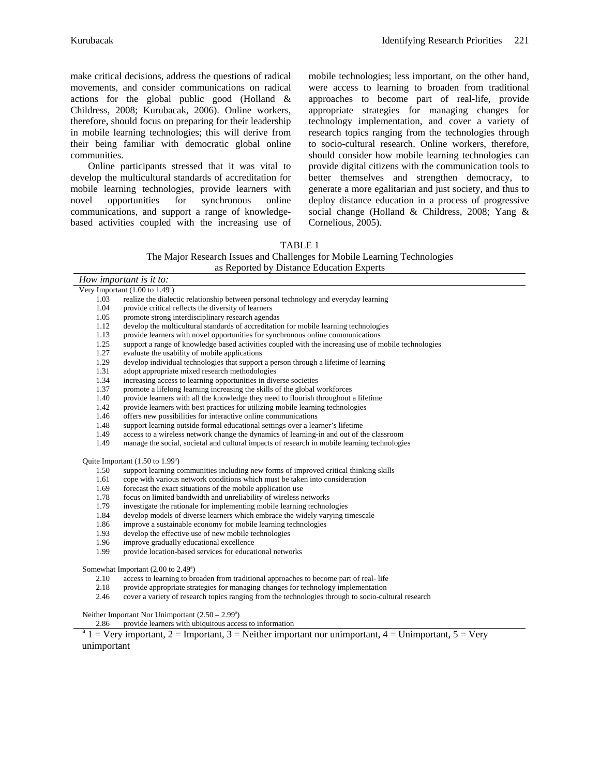make critical decisions, address the questions of radical movements, and consider communications on radical actions for the global public good (Holland & Childress, 2008; Kurubacak, 2006). Online workers, therefore, should focus on preparing for their leadership in mobile learning technologies; this will derive from their being familiar with democratic global online communities.

Online participants stressed that it was vital to develop the multicultural standards of accreditation for mobile learning technologies, provide learners with novel opportunities for synchronous online communications, and support a range of knowledgebased activities coupled with the increasing use of mobile technologies; less important, on the other hand, were access to learning to broaden from traditional approaches to become part of real-life, provide appropriate strategies for managing changes for technology implementation, and cover a variety of research topics ranging from the technologies through to socio-cultural research. Online workers, therefore, should consider how mobile learning technologies can provide digital citizens with the communication tools to better themselves and strengthen democracy, to generate a more egalitarian and just society, and thus to deploy distance education in a process of progressive social change (Holland & Childress, 2008; Yang & Cornelious, 2005).

#### TABLE 1

The Major Research Issues and Challenges for Mobile Learning Technologies as Reported by Distance Education Experts

| How important is it to:                              |                                                                                                      |  |
|------------------------------------------------------|------------------------------------------------------------------------------------------------------|--|
| Very Important $(1.00 \text{ to } 1.49^{\circ})$     |                                                                                                      |  |
| 1.03                                                 | realize the dialectic relationship between personal technology and everyday learning                 |  |
| 1.04                                                 | provide critical reflects the diversity of learners                                                  |  |
| 1.05                                                 | promote strong interdisciplinary research agendas                                                    |  |
| 1.12                                                 | develop the multicultural standards of accreditation for mobile learning technologies                |  |
| 1.13                                                 | provide learners with novel opportunities for synchronous online communications                      |  |
| 1.25                                                 | support a range of knowledge based activities coupled with the increasing use of mobile technologies |  |
| 1.27                                                 | evaluate the usability of mobile applications                                                        |  |
| 1.29                                                 | develop individual technologies that support a person through a lifetime of learning                 |  |
| 1.31                                                 | adopt appropriate mixed research methodologies                                                       |  |
| 1.34                                                 | increasing access to learning opportunities in diverse societies                                     |  |
| 1.37                                                 | promote a lifelong learning increasing the skills of the global workforces                           |  |
| 1.40                                                 | provide learners with all the knowledge they need to flourish throughout a lifetime                  |  |
| 1.42                                                 | provide learners with best practices for utilizing mobile learning technologies                      |  |
| 1.46                                                 | offers new possibilities for interactive online communications                                       |  |
| 1.48                                                 | support learning outside formal educational settings over a learner's lifetime                       |  |
| 1.49                                                 | access to a wireless network change the dynamics of learning-in and out of the classroom             |  |
| 1.49                                                 | manage the social, societal and cultural impacts of research in mobile learning technologies         |  |
| Quite Important $(1.50 \text{ to } 1.99^{\circ})$    |                                                                                                      |  |
| 1.50                                                 | support learning communities including new forms of improved critical thinking skills                |  |
| 1.61                                                 | cope with various network conditions which must be taken into consideration                          |  |
| 1.69                                                 | forecast the exact situations of the mobile application use                                          |  |
| 1.78                                                 | focus on limited bandwidth and unreliability of wireless networks                                    |  |
| 1.79                                                 | investigate the rationale for implementing mobile learning technologies                              |  |
| 1.84                                                 | develop models of diverse learners which embrace the widely varying timescale                        |  |
| 1.86                                                 | improve a sustainable economy for mobile learning technologies                                       |  |
| 1.93                                                 | develop the effective use of new mobile technologies                                                 |  |
| 1.96                                                 | improve gradually educational excellence                                                             |  |
| 1.99                                                 | provide location-based services for educational networks                                             |  |
| Somewhat Important $(2.00 \text{ to } 2.49^{\circ})$ |                                                                                                      |  |

2.10 access to learning to broaden from traditional approaches to become part of real- life

- 2.18 provide appropriate strategies for managing changes for technology implementation<br>2.46 cover a variety of research topics ranging from the technologies through to socio-cul
- cover a variety of research topics ranging from the technologies through to socio-cultural research

Neither Important Nor Unimportant  $(2.50 - 2.99)$ <sup>a</sup>

2.86 provide learners with ubiquitous access to information

 $1 = \text{Very important}, 2 = \text{Important}, 3 = \text{Neither important nor unimportant}, 4 = \text{Unimportant}, 5 = \text{Very important}$ unimportant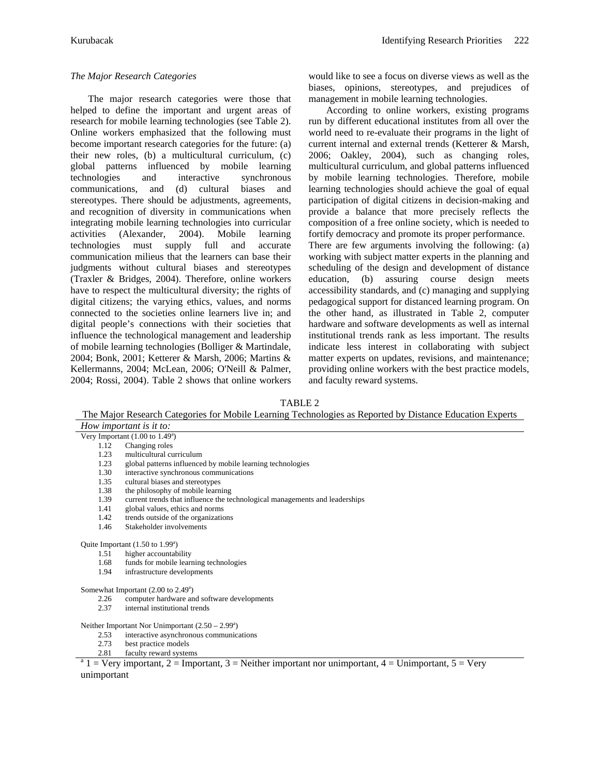## *The Major Research Categories*

The major research categories were those that helped to define the important and urgent areas of research for mobile learning technologies (see Table 2). Online workers emphasized that the following must become important research categories for the future: (a) their new roles, (b) a multicultural curriculum, (c) global patterns influenced by mobile learning technologies and interactive synchronous communications, and (d) cultural biases and stereotypes. There should be adjustments, agreements, and recognition of diversity in communications when integrating mobile learning technologies into curricular activities (Alexander, 2004). Mobile learning technologies must supply full and accurate communication milieus that the learners can base their judgments without cultural biases and stereotypes (Traxler & Bridges, 2004). Therefore, online workers have to respect the multicultural diversity; the rights of digital citizens; the varying ethics, values, and norms connected to the societies online learners live in; and digital people's connections with their societies that influence the technological management and leadership of mobile learning technologies (Bolliger & Martindale, 2004; Bonk, 2001; Ketterer & Marsh, 2006; Martins & Kellermanns, 2004; McLean, 2006; O'Neill & Palmer, 2004; Rossi, 2004). Table 2 shows that online workers

would like to see a focus on diverse views as well as the biases, opinions, stereotypes, and prejudices of management in mobile learning technologies.

According to online workers, existing programs run by different educational institutes from all over the world need to re-evaluate their programs in the light of current internal and external trends (Ketterer & Marsh, 2006; Oakley, 2004), such as changing roles, multicultural curriculum, and global patterns influenced by mobile learning technologies. Therefore, mobile learning technologies should achieve the goal of equal participation of digital citizens in decision-making and provide a balance that more precisely reflects the composition of a free online society, which is needed to fortify democracy and promote its proper performance.

There are few arguments involving the following: (a) working with subject matter experts in the planning and scheduling of the design and development of distance education, (b) assuring course design meets accessibility standards, and (c) managing and supplying pedagogical support for distanced learning program. On the other hand, as illustrated in Table 2, computer hardware and software developments as well as internal institutional trends rank as less important. The results indicate less interest in collaborating with subject matter experts on updates, revisions, and maintenance; providing online workers with the best practice models, and faculty reward systems.

#### TABLE 2

The Major Research Categories for Mobile Learning Technologies as Reported by Distance Education Experts

| How important is it to:                          |                                                                             |  |
|--------------------------------------------------|-----------------------------------------------------------------------------|--|
| Very Important $(1.00 \text{ to } 1.49^{\circ})$ |                                                                             |  |
| 1.12                                             | Changing roles                                                              |  |
| 1.23                                             | multicultural curriculum                                                    |  |
| 1.23                                             | global patterns influenced by mobile learning technologies                  |  |
| 1.30                                             | interactive synchronous communications                                      |  |
| 1.35                                             | cultural biases and stereotypes                                             |  |
| 1.38                                             | the philosophy of mobile learning                                           |  |
| 1.39                                             | current trends that influence the technological managements and leaderships |  |
| 1.41                                             | global values, ethics and norms                                             |  |
| 1.42                                             | trends outside of the organizations                                         |  |
| 1.46                                             | Stakeholder involvements                                                    |  |
|                                                  |                                                                             |  |

#### Quite Important  $(1.50 \text{ to } 1.99^{\text{a}})$

- 1.51 higher accountability
- 1.68 funds for mobile learning technologies
- 1.94 infrastructure developments

#### Somewhat Important (2.00 to 2.49<sup>a</sup>)

- 2.26 computer hardware and software developments
- 2.37 internal institutional trends

#### Neither Important Nor Unimportant  $(2.50 - 2.99)$ <sup>a</sup>

- 2.53 interactive asynchronous communications
- 2.73 best practice models
- 2.81 faculty reward systems<br> $a<sup>a</sup> 1 = Very important, 2 = Important, 3 = Neither important nor unimportant, 4 = Uniformportant, 5 = Very$ unimportant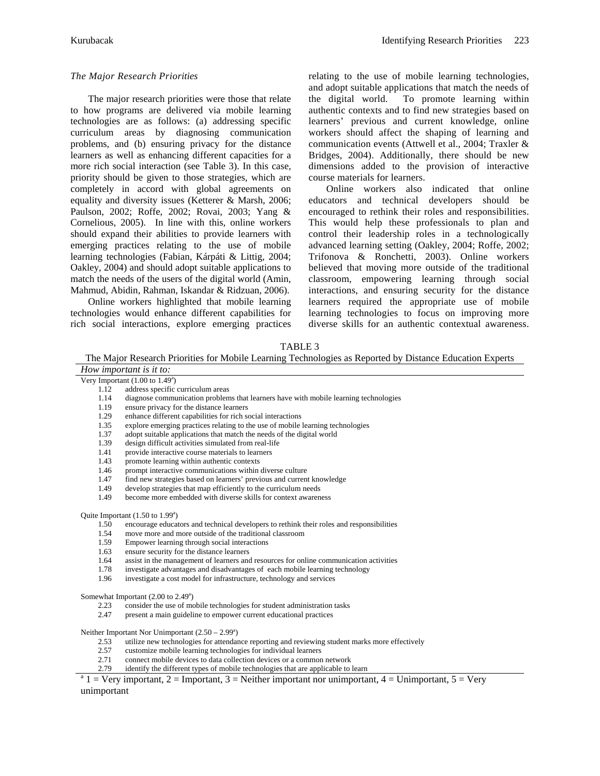## *The Major Research Priorities*

The major research priorities were those that relate to how programs are delivered via mobile learning technologies are as follows: (a) addressing specific curriculum areas by diagnosing communication problems, and (b) ensuring privacy for the distance learners as well as enhancing different capacities for a more rich social interaction (see Table 3). In this case, priority should be given to those strategies, which are completely in accord with global agreements on equality and diversity issues (Ketterer & Marsh, 2006; Paulson, 2002; Roffe, 2002; Rovai, 2003; Yang & Cornelious, 2005). In line with this, online workers should expand their abilities to provide learners with emerging practices relating to the use of mobile learning technologies (Fabian, Kárpáti & Littig, 2004; Oakley, 2004) and should adopt suitable applications to match the needs of the users of the digital world (Amin, Mahmud, Abidin, Rahman, Iskandar & Ridzuan, 2006).

Online workers highlighted that mobile learning technologies would enhance different capabilities for rich social interactions, explore emerging practices relating to the use of mobile learning technologies, and adopt suitable applications that match the needs of the digital world. To promote learning within authentic contexts and to find new strategies based on learners' previous and current knowledge, online workers should affect the shaping of learning and communication events (Attwell et al., 2004; Traxler & Bridges, 2004). Additionally, there should be new dimensions added to the provision of interactive course materials for learners.

Online workers also indicated that online educators and technical developers should be encouraged to rethink their roles and responsibilities. This would help these professionals to plan and control their leadership roles in a technologically advanced learning setting (Oakley, 2004; Roffe, 2002; Trifonova & Ronchetti, 2003). Online workers believed that moving more outside of the traditional classroom, empowering learning through social interactions, and ensuring security for the distance learners required the appropriate use of mobile learning technologies to focus on improving more diverse skills for an authentic contextual awareness.

#### TABLE 3

The Major Research Priorities for Mobile Learning Technologies as Reported by Distance Education Experts

*How important is it to:*

- Very Important  $(1.00 \text{ to } 1.49^{\circ})$ 1.12 address specific curriculum areas
	- 1.14 diagnose communication problems that learners have with mobile learning technologies
	- 1.19 ensure privacy for the distance learners
	- 1.29 enhance different capabilities for rich social interactions<br>1.35 explore emerging practices relating to the use of mobile
	- explore emerging practices relating to the use of mobile learning technologies
	- 1.37 adopt suitable applications that match the needs of the digital world
	- 1.39 design difficult activities simulated from real-life
	- 1.41 provide interactive course materials to learners
	- 1.43 promote learning within authentic contexts
	- 1.46 prompt interactive communications within diverse culture
	- 1.47 find new strategies based on learners' previous and current knowledge
	- 1.49 develop strategies that map efficiently to the curriculum needs<br>1.49 become more embedded with diverse skills for context awaren
	- become more embedded with diverse skills for context awareness

Quite Important  $(1.50 \text{ to } 1.99^{\text{a}})$ 

- 1.50 encourage educators and technical developers to rethink their roles and responsibilities
- 1.54 move more and more outside of the traditional classroom
- 1.59 Empower learning through social interactions
- 1.63 ensure security for the distance learners
- 1.64 assist in the management of learners and resources for online communication activities
- 1.78 investigate advantages and disadvantages of each mobile learning technology
- 1.96 investigate a cost model for infrastructure, technology and services

Somewhat Important  $(2.00 \text{ to } 2.49^{\degree})$ 

- 2.23 consider the use of mobile technologies for student administration tasks
- 2.47 present a main guideline to empower current educational practices

Neither Important Nor Unimportant  $(2.50 - 2.99)$ <sup>a</sup>

- 2.53 utilize new technologies for attendance reporting and reviewing student marks more effectively
- 2.57 customize mobile learning technologies for individual learners<br>2.71 connect mobile devices to data collection devices or a common
- connect mobile devices to data collection devices or a common network
- 2.79 identify the different types of mobile technologies that are applicable to learn

 $1 = \text{Very important}, 2 = \text{Important}, 3 = \text{Neither important nor unimportant}, 4 = \text{Unimportant}, 5 = \text{Very important}$ unimportant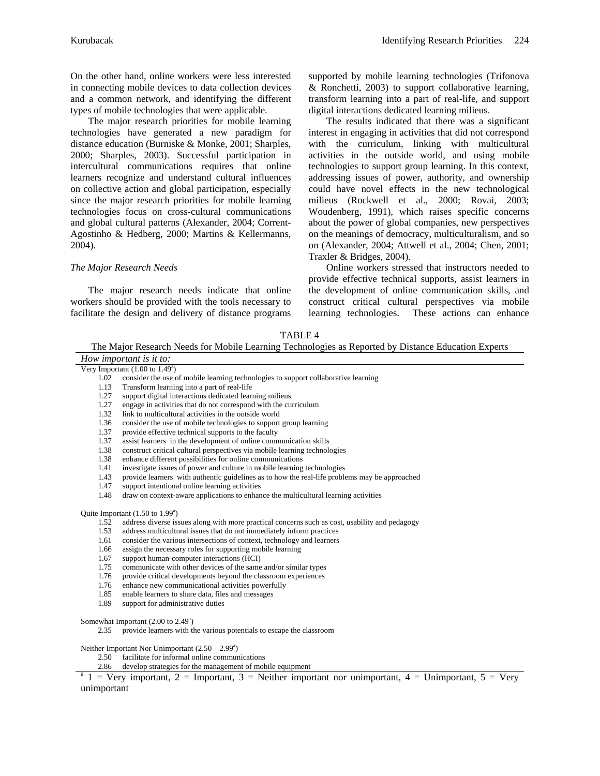On the other hand, online workers were less interested in connecting mobile devices to data collection devices and a common network, and identifying the different types of mobile technologies that were applicable.

The major research priorities for mobile learning technologies have generated a new paradigm for distance education (Burniske & Monke, 2001; Sharples, 2000; Sharples, 2003). Successful participation in intercultural communications requires that online learners recognize and understand cultural influences on collective action and global participation, especially since the major research priorities for mobile learning technologies focus on cross-cultural communications and global cultural patterns (Alexander, 2004; Corrent-Agostinho & Hedberg, 2000; Martins & Kellermanns, 2004).

#### *The Major Research Needs*

The major research needs indicate that online workers should be provided with the tools necessary to facilitate the design and delivery of distance programs supported by mobile learning technologies (Trifonova & Ronchetti, 2003) to support collaborative learning, transform learning into a part of real-life, and support digital interactions dedicated learning milieus.

The results indicated that there was a significant interest in engaging in activities that did not correspond with the curriculum, linking with multicultural activities in the outside world, and using mobile technologies to support group learning. In this context, addressing issues of power, authority, and ownership could have novel effects in the new technological milieus (Rockwell et al., 2000; Rovai, 2003; Woudenberg, 1991), which raises specific concerns about the power of global companies, new perspectives on the meanings of democracy, multiculturalism, and so on (Alexander, 2004; Attwell et al., 2004; Chen, 2001; Traxler & Bridges, 2004).

Online workers stressed that instructors needed to provide effective technical supports, assist learners in the development of online communication skills, and construct critical cultural perspectives via mobile learning technologies. These actions can enhance

TABLE 4

The Major Research Needs for Mobile Learning Technologies as Reported by Distance Education Experts

*How important is it to:* Very Important  $(1.00 \text{ to } 1.49^{\circ})$ 1.02 consider the use of mobile learning technologies to support collaborative learning 1.13 Transform learning into a part of real-life 1.27 support digital interactions dedicated learning milieus 1.27 engage in activities that do not correspond with the curriculum 1.32 link to multicultural activities in the outside world 1.36 consider the use of mobile technologies to support group learning 1.37 provide effective technical supports to the faculty 1.37 assist learners in the development of online communication skills 1.38 construct critical cultural perspectives via mobile learning technologies

1.38 enhance different possibilities for online communications

- 1.41 investigate issues of power and culture in mobile learning technologies
- 1.43 provide learners with authentic guidelines as to how the real-life problems may be approached
- 1.47 support intentional online learning activities
- 1.48 draw on context-aware applications to enhance the multicultural learning activities

Quite Important  $(1.50 \text{ to } 1.99^{\circ})$ 

- 1.52 address diverse issues along with more practical concerns such as cost, usability and pedagogy
- 1.53 address multicultural issues that do not immediately inform practices
- 1.61 consider the various intersections of context, technology and learners
- 1.66 assign the necessary roles for supporting mobile learning
- 1.67 support human-computer interactions (HCI)
- 1.75 communicate with other devices of the same and/or similar types
- 1.76 provide critical developments beyond the classroom experiences
- 1.76 enhance new communicational activities powerfully
- 1.85 enable learners to share data, files and messages 1.89 support for administrative duties

Somewhat Important (2.00 to 2.49<sup>a</sup>)

2.35 provide learners with the various potentials to escape the classroom

Neither Important Nor Unimportant  $(2.50 - 2.99)$ <sup>a</sup>

2.50 facilitate for informal online communications

2.86 develop strategies for the management of mobile equipment

 $1 = \text{Very important}, 2 = \text{Important}, 3 = \text{Neither important nor unimportant}, 4 = \text{Unimportant}, 5 = \text{Very}}$ unimportant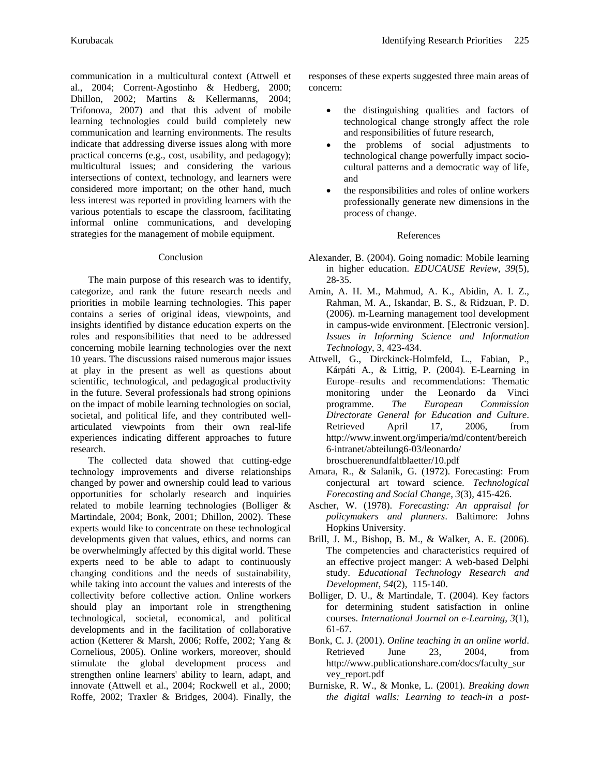communication in a multicultural context (Attwell et al., 2004; Corrent-Agostinho & Hedberg, 2000; Dhillon, 2002; Martins & Kellermanns, 2004; Trifonova, 2007) and that this advent of mobile learning technologies could build completely new communication and learning environments. The results indicate that addressing diverse issues along with more practical concerns (e.g., cost, usability, and pedagogy); multicultural issues; and considering the various intersections of context, technology, and learners were considered more important; on the other hand, much less interest was reported in providing learners with the various potentials to escape the classroom, facilitating informal online communications, and developing strategies for the management of mobile equipment.

## Conclusion

The main purpose of this research was to identify, categorize, and rank the future research needs and priorities in mobile learning technologies. This paper contains a series of original ideas, viewpoints, and insights identified by distance education experts on the roles and responsibilities that need to be addressed concerning mobile learning technologies over the next 10 years. The discussions raised numerous major issues at play in the present as well as questions about scientific, technological, and pedagogical productivity in the future. Several professionals had strong opinions on the impact of mobile learning technologies on social, societal, and political life, and they contributed wellarticulated viewpoints from their own real-life experiences indicating different approaches to future research.

The collected data showed that cutting-edge technology improvements and diverse relationships changed by power and ownership could lead to various opportunities for scholarly research and inquiries related to mobile learning technologies (Bolliger & Martindale, 2004; Bonk, 2001; Dhillon, 2002). These experts would like to concentrate on these technological developments given that values, ethics, and norms can be overwhelmingly affected by this digital world. These experts need to be able to adapt to continuously changing conditions and the needs of sustainability, while taking into account the values and interests of the collectivity before collective action. Online workers should play an important role in strengthening technological, societal, economical, and political developments and in the facilitation of collaborative action (Ketterer & Marsh, 2006; Roffe, 2002; Yang & Cornelious, 2005). Online workers, moreover, should stimulate the global development process and strengthen online learners' ability to learn, adapt, and innovate (Attwell et al., 2004; Rockwell et al., 2000; Roffe, 2002; Traxler & Bridges, 2004). Finally, the

responses of these experts suggested three main areas of concern:

- the distinguishing qualities and factors of technological change strongly affect the role and responsibilities of future research,
- the problems of social adjustments to technological change powerfully impact sociocultural patterns and a democratic way of life, and
- the responsibilities and roles of online workers professionally generate new dimensions in the process of change.

# References

- Alexander, B. (2004). Going nomadic: Mobile learning in higher education. *EDUCAUSE Review, 39*(5), 28-35.
- Amin, A. H. M., Mahmud, A. K., Abidin, A. I. Z., Rahman, M. A., Iskandar, B. S., & Ridzuan, P. D. (2006). m-Learning management tool development in campus-wide environment. [Electronic version]. *Issues in Informing Science and Information Technology*, 3, 423-434.
- Attwell, G., Dirckinck-Holmfeld, L., Fabian, P., Kárpáti A., & Littig, P. (2004). E-Learning in Europe–results and recommendations: Thematic monitoring under the Leonardo da Vinci programme. *The European Commission Directorate General for Education and Culture*. Retrieved April 17, 2006, from http://www.inwent.org/imperia/md/content/bereich 6-intranet/abteilung6-03/leonardo/ broschuerenundfaltblaetter/10.pdf
- Amara, R., & Salanik, G. (1972). Forecasting: From conjectural art toward science. *Technological Forecasting and Social Change*, *3*(3), 415-426.
- Ascher, W. (1978). *Forecasting: An appraisal for policymakers and planners*. Baltimore: Johns Hopkins University.
- Brill, J. M., Bishop, B. M., & Walker, A. E. (2006). The competencies and characteristics required of an effective project manger: A web-based Delphi study. *Educational Technology Research and Development*, *54*(2), 115-140.
- Bolliger, D. U., & Martindale, T. (2004). Key factors for determining student satisfaction in online courses. *International Journal on e-Learning*, *3*(1), 61-67.
- Bonk, C. J. (2001). *Online teaching in an online world*. Retrieved June 23, 2004, from http://www.publicationshare.com/docs/faculty\_sur vey\_report.pdf
- Burniske, R. W., & Monke, L. (2001). *Breaking down the digital walls: Learning to teach-in a post-*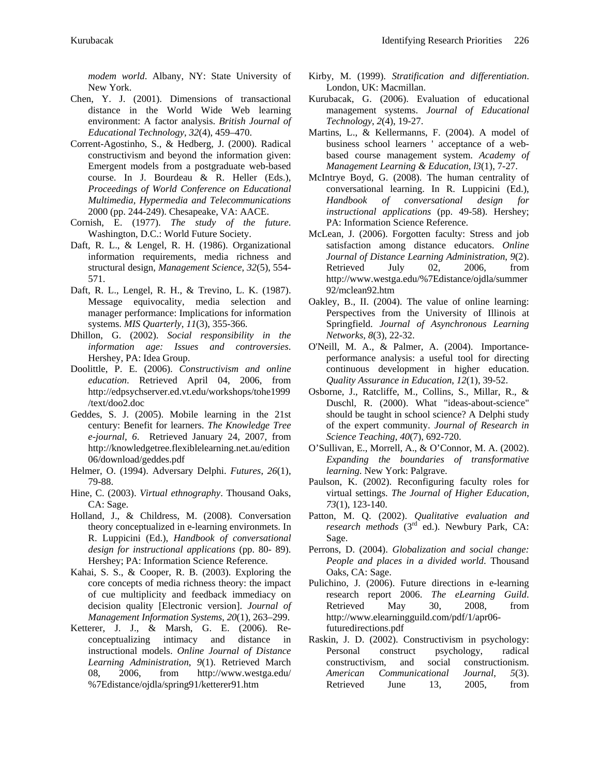*modem world*. Albany, NY: State University of New York.

- Chen, Y. J. (2001). Dimensions of transactional distance in the World Wide Web learning environment: A factor analysis. *British Journal of Educational Technology*, *32*(4), 459–470.
- Corrent-Agostinho, S., & Hedberg, J. (2000). Radical constructivism and beyond the information given: Emergent models from a postgraduate web-based course. In J. Bourdeau & R. Heller (Eds.), *Proceedings of World Conference on Educational Multimedia, Hypermedia and Telecommunications* 2000 (pp. 244-249). Chesapeake, VA: AACE.
- Cornish, E. (1977). *The study of the future*. Washington, D.C.: World Future Society.
- Daft, R. L., & Lengel, R. H. (1986). Organizational information requirements, media richness and structural design, *Management Science*, *32*(5), 554- 571.
- Daft, R. L., Lengel, R. H., & Trevino, L. K. (1987). Message equivocality, media selection and manager performance: Implications for information systems. *MIS Quarterly*, *11*(3), 355-366.
- Dhillon, G. (2002). *Social responsibility in the information age: Issues and controversies*. Hershey, PA: Idea Group.
- Doolittle, P. E. (2006). *Constructivism and online education*. Retrieved April 04, 2006, from http://edpsychserver.ed.vt.edu/workshops/tohe1999 /text/doo2.doc
- Geddes, S. J. (2005). Mobile learning in the 21st century: Benefit for learners. *The Knowledge Tree e-journal, 6*. Retrieved January 24, 2007, from http://knowledgetree.flexiblelearning.net.au/edition 06/download/geddes.pdf
- Helmer, O. (1994). Adversary Delphi. *Futures*, *26*(1), 79-88.
- Hine, C. (2003). *Virtual ethnography*. Thousand Oaks, CA: Sage.
- Holland, J., & Childress, M. (2008). Conversation theory conceptualized in e-learning environmets. In R. Luppicini (Ed.), *Handbook of conversational design for instructional applications* (pp. 80- 89). Hershey; PA: Information Science Reference.
- Kahai, S. S., & Cooper, R. B. (2003). Exploring the core concepts of media richness theory: the impact of cue multiplicity and feedback immediacy on decision quality [Electronic version]. *Journal of Management Information Systems*, *20*(1), 263–299.
- Ketterer, J. J., & Marsh, G. E. (2006). Reconceptualizing intimacy and distance in instructional models. *Online Journal of Distance Learning Administration*, *9*(1). Retrieved March 08, 2006, from http://www.westga.edu/ %7Edistance/ojdla/spring91/ketterer91.htm
- Kirby, M. (1999). *Stratification and differentiation*. London, UK: Macmillan.
- Kurubacak, G. (2006). Evaluation of educational management systems. *Journal of Educational Technology*, *2*(4), 19-27.
- Martins, L., & Kellermanns, F. (2004). A model of business school learners ' acceptance of a webbased course management system. *Academy of Management Learning & Education*, *l3*(1), 7-27.
- McIntrye Boyd, G. (2008). The human centrality of conversational learning. In R. Luppicini (Ed.), *Handbook of conversational design for instructional applications* (pp. 49-58). Hershey; PA: Information Science Reference.
- McLean, J. (2006). Forgotten faculty: Stress and job satisfaction among distance educators. *Online Journal of Distance Learning Administration*, *9*(2). Retrieved July 02, 2006, from http://www.westga.edu/%7Edistance/ojdla/summer 92/mclean92.htm
- Oakley, B., II. (2004). The value of online learning: Perspectives from the University of Illinois at Springfield. *Journal of Asynchronous Learning Networks*, *8*(3), 22-32.
- O'Neill, M. A., & Palmer, A. (2004). Importanceperformance analysis: a useful tool for directing continuous development in higher education. *Quality Assurance in Education*, *12*(1), 39-52.
- Osborne, J., Ratcliffe, M., Collins, S., Millar, R., & Duschl, R. (2000). What "ideas-about-science" should be taught in school science? A Delphi study of the expert community. *Journal of Research in Science Teaching*, *40*(7), 692-720.
- O'Sullivan, E., Morrell, A., & O'Connor, M. A. (2002). *Expanding the boundaries of transformative learning*. New York: Palgrave.
- Paulson, K. (2002). Reconfiguring faculty roles for virtual settings. *The Journal of Higher Education*, *73*(1), 123-140.
- Patton, M. Q. (2002). *Qualitative evaluation and research methods* (3rd ed.). Newbury Park, CA: Sage.
- Perrons, D. (2004). *Globalization and social change: People and places in a divided world*. Thousand Oaks, CA: Sage.
- Pulichino, J. (2006). Future directions in e-learning research report 2006. *The eLearning Guild*. Retrieved May 30, 2008, from http://www.elearningguild.com/pdf/1/apr06 futuredirections.pdf
- Raskin, J. D. (2002). Constructivism in psychology: Personal construct psychology, radical constructivism, and social constructionism. *American Communicational Journal*, *5*(3). Retrieved June 13, 2005, from